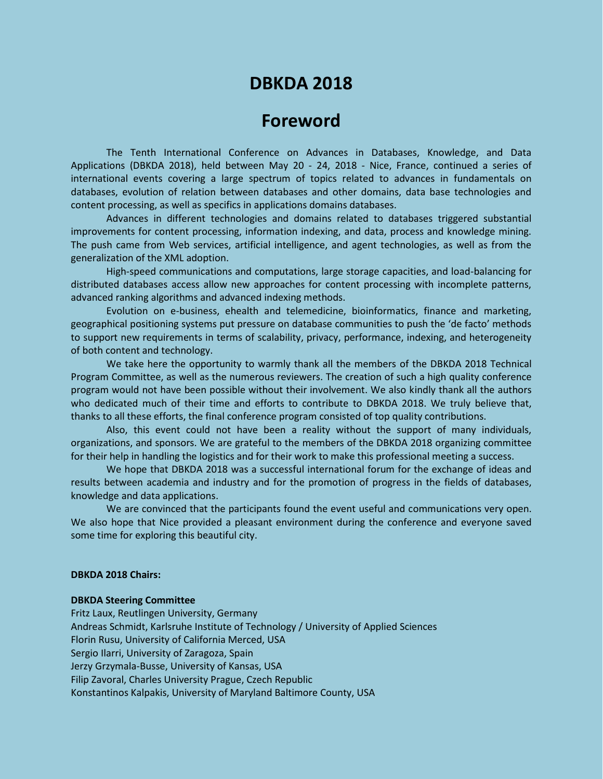# **DBKDA 2018**

## **Foreword**

The Tenth International Conference on Advances in Databases, Knowledge, and Data Applications (DBKDA 2018), held between May 20 - 24, 2018 - Nice, France, continued a series of international events covering a large spectrum of topics related to advances in fundamentals on databases, evolution of relation between databases and other domains, data base technologies and content processing, as well as specifics in applications domains databases.

Advances in different technologies and domains related to databases triggered substantial improvements for content processing, information indexing, and data, process and knowledge mining. The push came from Web services, artificial intelligence, and agent technologies, as well as from the generalization of the XML adoption.

High-speed communications and computations, large storage capacities, and load-balancing for distributed databases access allow new approaches for content processing with incomplete patterns, advanced ranking algorithms and advanced indexing methods.

Evolution on e-business, ehealth and telemedicine, bioinformatics, finance and marketing, geographical positioning systems put pressure on database communities to push the 'de facto' methods to support new requirements in terms of scalability, privacy, performance, indexing, and heterogeneity of both content and technology.

We take here the opportunity to warmly thank all the members of the DBKDA 2018 Technical Program Committee, as well as the numerous reviewers. The creation of such a high quality conference program would not have been possible without their involvement. We also kindly thank all the authors who dedicated much of their time and efforts to contribute to DBKDA 2018. We truly believe that, thanks to all these efforts, the final conference program consisted of top quality contributions.

Also, this event could not have been a reality without the support of many individuals, organizations, and sponsors. We are grateful to the members of the DBKDA 2018 organizing committee for their help in handling the logistics and for their work to make this professional meeting a success.

We hope that DBKDA 2018 was a successful international forum for the exchange of ideas and results between academia and industry and for the promotion of progress in the fields of databases, knowledge and data applications.

We are convinced that the participants found the event useful and communications very open. We also hope that Nice provided a pleasant environment during the conference and everyone saved some time for exploring this beautiful city.

### **DBKDA 2018 Chairs:**

#### **DBKDA Steering Committee**

Fritz Laux, Reutlingen University, Germany Andreas Schmidt, Karlsruhe Institute of Technology / University of Applied Sciences Florin Rusu, University of California Merced, USA Sergio Ilarri, University of Zaragoza, Spain Jerzy Grzymala-Busse, University of Kansas, USA Filip Zavoral, Charles University Prague, Czech Republic Konstantinos Kalpakis, University of Maryland Baltimore County, USA